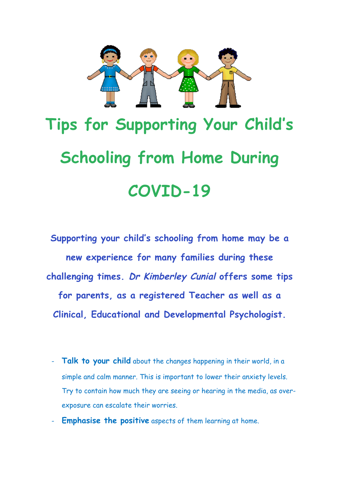

## **Tips for Supporting Your Child's Schooling from Home During COVID-19**

**Supporting your child's schooling from home may be a new experience for many families during these challenging times. Dr Kimberley Cunial offers some tips for parents, as a registered Teacher as well as a Clinical, Educational and Developmental Psychologist.**

- **Talk to your child** about the changes happening in their world, in a simple and calm manner. This is important to lower their anxiety levels. Try to contain how much they are seeing or hearing in the media, as overexposure can escalate their worries.
- **Emphasise the positive** aspects of them learning at home.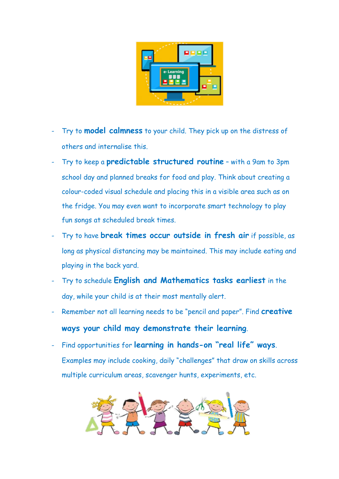

- Try to **model calmness** to your child. They pick up on the distress of others and internalise this.
- Try to keep a **predictable structured routine** with a 9am to 3pm school day and planned breaks for food and play. Think about creating a colour-coded visual schedule and placing this in a visible area such as on the fridge. You may even want to incorporate smart technology to play fun songs at scheduled break times.
- Try to have **break times occur outside in fresh air** if possible, as long as physical distancing may be maintained. This may include eating and playing in the back yard.
- Try to schedule **English and Mathematics tasks earliest** in the day, while your child is at their most mentally alert.
- Remember not all learning needs to be "pencil and paper". Find **creative ways your child may demonstrate their learning**.
- Find opportunities for **learning in hands-on "real life" ways**. Examples may include cooking, daily "challenges" that draw on skills across multiple curriculum areas, scavenger hunts, experiments, etc.

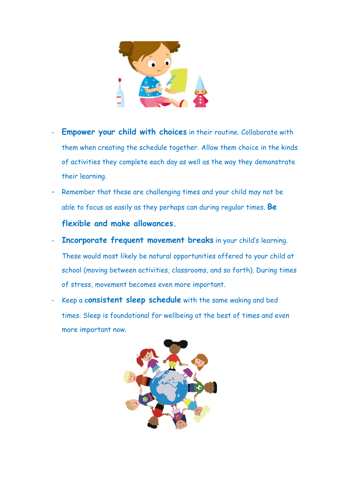

- **Empower your child with choices** in their routine. Collaborate with them when creating the schedule together. Allow them choice in the kinds of activities they complete each day as well as the way they demonstrate their learning.
- Remember that these are challenging times and your child may not be able to focus as easily as they perhaps can during regular times. **Be flexible and make allowances.**
- **Incorporate frequent movement breaks** in your child's learning. These would most likely be natural opportunities offered to your child at school (moving between activities, classrooms, and so forth). During times of stress, movement becomes even more important.
- Keep a **consistent sleep schedule** with the same waking and bed times. Sleep is foundational for wellbeing at the best of times and even more important now.

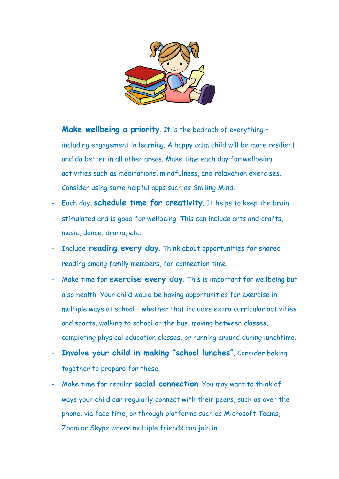

- **Make wellbeing a priority**. It is the bedrock of everything including engagement in learning. A happy calm child will be more resilient and do better in all other areas. Make time each day for wellbeing activities such as meditations, mindfulness, and relaxation exercises. Consider using some helpful apps such as Smiling Mind.
- Each day, **schedule time for creativity**. It helps to keep the brain stimulated and is good for wellbeing. This can include arts and crafts, music, dance, drama, etc.
- Include **reading every day**. Think about opportunities for shared reading among family members, for connection time.
- Make time for **exercise every day**. This is important for wellbeing but also health. Your child would be having opportunities for exercise in multiple ways at school – whether that includes extra curricular activities and sports, walking to school or the bus, moving between classes, completing physical education classes, or running around during lunchtime.
- **Involve your child in making "school lunches"**. Consider baking together to prepare for these.
- Make time for regular **social connection**. You may want to think of ways your child can regularly connect with their peers, such as over the phone, via face time, or through platforms such as Microsoft Teams, Zoom or Skype where multiple friends can join in.